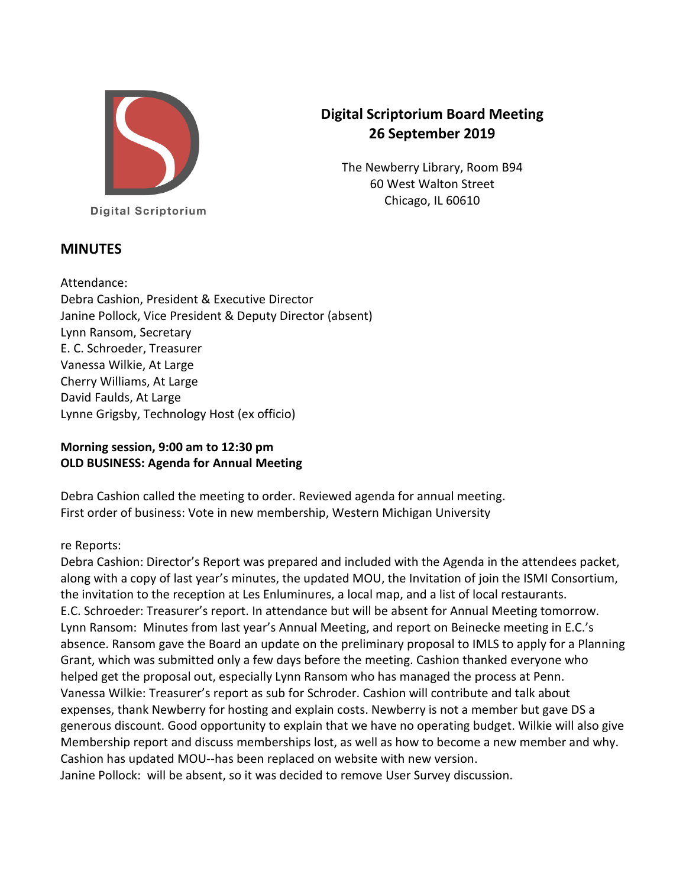

# **Digital Scriptorium Board Meeting 26 September 2019**

The Newberry Library, Room B94 60 West Walton Street Chicago, IL 60610

**Digital Scriptorium** 

# **MINUTES**

Attendance: Debra Cashion, President & Executive Director Janine Pollock, Vice President & Deputy Director (absent) Lynn Ransom, Secretary E. C. Schroeder, Treasurer Vanessa Wilkie, At Large Cherry Williams, At Large David Faulds, At Large Lynne Grigsby, Technology Host (ex officio)

# **Morning session, 9:00 am to 12:30 pm OLD BUSINESS: Agenda for Annual Meeting**

Debra Cashion called the meeting to order. Reviewed agenda for annual meeting. First order of business: Vote in new membership, Western Michigan University

### re Reports:

Debra Cashion: Director's Report was prepared and included with the Agenda in the attendees packet, along with a copy of last year's minutes, the updated MOU, the Invitation of join the ISMI Consortium, the invitation to the reception at Les Enluminures, a local map, and a list of local restaurants. E.C. Schroeder: Treasurer's report. In attendance but will be absent for Annual Meeting tomorrow. Lynn Ransom: Minutes from last year's Annual Meeting, and report on Beinecke meeting in E.C.'s absence. Ransom gave the Board an update on the preliminary proposal to IMLS to apply for a Planning Grant, which was submitted only a few days before the meeting. Cashion thanked everyone who helped get the proposal out, especially Lynn Ransom who has managed the process at Penn. Vanessa Wilkie: Treasurer's report as sub for Schroder. Cashion will contribute and talk about expenses, thank Newberry for hosting and explain costs. Newberry is not a member but gave DS a generous discount. Good opportunity to explain that we have no operating budget. Wilkie will also give Membership report and discuss memberships lost, as well as how to become a new member and why. Cashion has updated MOU--has been replaced on website with new version. Janine Pollock: will be absent, so it was decided to remove User Survey discussion.